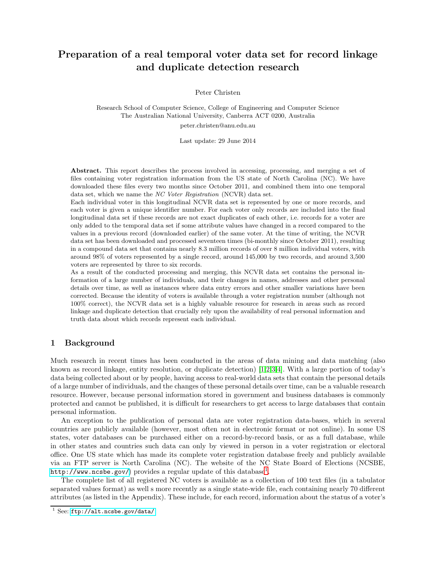# Preparation of a real temporal voter data set for record linkage and duplicate detection research

Peter Christen

Research School of Computer Science, College of Engineering and Computer Science The Australian National University, Canberra ACT 0200, Australia

peter.christen@anu.edu.au

Last update: 29 June 2014

Abstract. This report describes the process involved in accessing, processing, and merging a set of files containing voter registration information from the US state of North Carolina (NC). We have downloaded these files every two months since October 2011, and combined them into one temporal data set, which we name the NC Voter Registration (NCVR) data set.

Each individual voter in this longitudinal NCVR data set is represented by one or more records, and each voter is given a unique identifier number. For each voter only records are included into the final longitudinal data set if these records are not exact duplicates of each other, i.e. records for a voter are only added to the temporal data set if some attribute values have changed in a record compared to the values in a previous record (downloaded earlier) of the same voter. At the time of writing, the NCVR data set has been downloaded and processed seventeen times (bi-monthly since October 2011), resulting in a compound data set that contains nearly 8.3 million records of over 8 million individual voters, with around 98% of voters represented by a single record, around 145,000 by two records, and around 3,500 voters are represented by three to six records.

As a result of the conducted processing and merging, this NCVR data set contains the personal information of a large number of individuals, and their changes in names, addresses and other personal details over time, as well as instances where data entry errors and other smaller variations have been corrected. Because the identity of voters is available through a voter registration number (although not 100% correct), the NCVR data set is a highly valuable resource for research in areas such as record linkage and duplicate detection that crucially rely upon the availability of real personal information and truth data about which records represent each individual.

# 1 Background

Much research in recent times has been conducted in the areas of data mining and data matching (also known as record linkage, entity resolution, or duplicate detection) [\[1](#page-14-0)[,2,](#page-14-1)[3,](#page-14-2)[4\]](#page-14-3). With a large portion of today's data being collected about or by people, having access to real-world data sets that contain the personal details of a large number of individuals, and the changes of these personal details over time, can be a valuable research resource. However, because personal information stored in government and business databases is commonly protected and cannot be published, it is difficult for researchers to get access to large databases that contain personal information.

An exception to the publication of personal data are voter registration data-bases, which in several countries are publicly available (however, most often not in electronic format or not online). In some US states, voter databases can be purchased either on a record-by-record basis, or as a full database, while in other states and countries such data can only by viewed in person in a voter registration or electoral office. One US state which has made its complete voter registration database freely and publicly available via an FTP server is North Carolina (NC). The website of the NC State Board of Elections (NCSBE,  ${\tt http://www.ncsbe.gov/}$  ${\tt http://www.ncsbe.gov/}$  ${\tt http://www.ncsbe.gov/}$  provides a regular update of this database<sup>[1](#page-0-0)</sup>.

The complete list of all registered NC voters is available as a collection of 100 text files (in a tabulator separated values format) as well s more recently as a single state-wide file, each containing nearly 70 different attributes (as listed in the Appendix). These include, for each record, information about the status of a voter's

<span id="page-0-0"></span> $1$  See: <ftp://alt.ncsbe.gov/data/>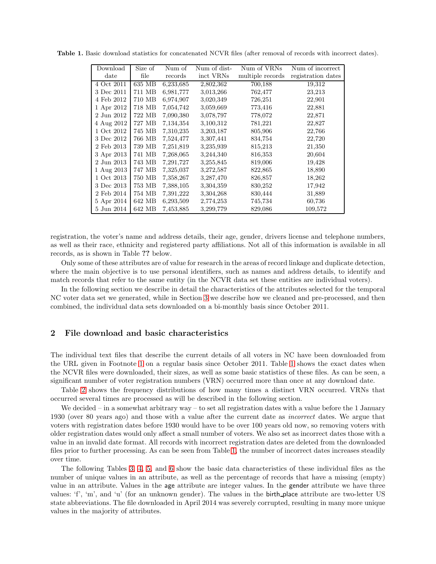<span id="page-1-0"></span>

| Download   | Size of | Num of    | Num of dist- | Num of VRNs      | Num of incorrect   |
|------------|---------|-----------|--------------|------------------|--------------------|
| date       | file    | records   | inct VRNs    | multiple records | registration dates |
| 4 Oct 2011 | 635 MB  | 6,233,685 | 2,802,362    | 700,188          | 19,312             |
| 3 Dec 2011 | 711 MB  | 6,981,777 | 3,013,266    | 762,477          | 23,213             |
| 4 Feb 2012 | 710 MB  | 6,974,907 | 3,020,349    | 726,251          | 22,901             |
| 1 Apr 2012 | 718 MB  | 7,054,742 | 3,059,669    | 773,416          | 22,881             |
| 2 Jun 2012 | 722 MB  | 7,090,380 | 3,078,797    | 778,072          | 22,871             |
| 4 Aug 2012 | 727 MB  | 7,134,354 | 3,100,312    | 781,221          | 22,827             |
| 1 Oct 2012 | 745 MB  | 7,310,235 | 3,203,187    | 805,906          | 22,766             |
| 3 Dec 2012 | 766 MB  | 7,524,477 | 3,307,441    | 834,754          | 22,720             |
| 2 Feb 2013 | 739 MB  | 7,251,819 | 3,235,939    | 815,213          | 21,350             |
| 3 Apr 2013 | 741 MB  | 7,268,065 | 3,244,340    | 816,353          | 20,604             |
| 2 Jun 2013 | 743 MB  | 7,291,727 | 3,255,845    | 819,006          | 19,428             |
| 1 Aug 2013 | 747 MB  | 7,325,037 | 3,272,587    | 822,865          | 18,890             |
| 1 Oct 2013 | 750 MB  | 7,358,267 | 3,287,470    | 826,857          | 18,262             |
| 3 Dec 2013 | 753 MB  | 7,388,105 | 3,304,359    | 830,252          | 17,942             |
| 2 Feb 2014 | 754 MB  | 7,391,222 | 3,304,268    | 830,444          | 31,889             |
| 5 Apr 2014 | 642 MB  | 6,293,509 | 2,774,253    | 745,734          | 60,736             |
| 5 Jun 2014 | 642 MB  | 7,453,885 | 3,299,779    | 829,086          | 109,572            |

Table 1. Basic download statistics for concatenated NCVR files (after removal of records with incorrect dates).

registration, the voter's name and address details, their age, gender, drivers license and telephone numbers, as well as their race, ethnicity and registered party affiliations. Not all of this information is available in all records, as is shown in Table ?? below.

Only some of these attributes are of value for research in the areas of record linkage and duplicate detection, where the main objective is to use personal identifiers, such as names and address details, to identify and match records that refer to the same entity (in the NCVR data set these entities are individual voters).

In the following section we describe in detail the characteristics of the attributes selected for the temporal NC voter data set we generated, while in Section [3](#page-2-0) we describe how we cleaned and pre-processed, and then combined, the individual data sets downloaded on a bi-monthly basis since October 2011.

# 2 File download and basic characteristics

The individual text files that describe the current details of all voters in NC have been downloaded from the URL given in Footnote [1](#page-0-0) on a regular basis since October 2011. Table [1](#page-1-0) shows the exact dates when the NCVR files were downloaded, their sizes, as well as some basic statistics of these files. As can be seen, a significant number of voter registration numbers (VRN) occurred more than once at any download date.

Table [2](#page-2-1) shows the frequency distributions of how many times a distinct VRN occurred. VRNs that occurred several times are processed as will be described in the following section.

We decided – in a somewhat arbitrary way – to set all registration dates with a value before the 1 January 1930 (over 80 years ago) and those with a value after the current date as incorrect dates. We argue that voters with registration dates before 1930 would have to be over 100 years old now, so removing voters with older registration dates would only affect a small number of voters. We also set as incorrect dates those with a value in an invalid date format. All records with incorrect registration dates are deleted from the downloaded files prior to further processing. As can be seen from Table [1,](#page-1-0) the number of incorrect dates increases steadily over time.

The following Tables [3,](#page-3-0) [4,](#page-4-0) [5,](#page-5-0) and [6](#page-6-0) show the basic data characteristics of these individual files as the number of unique values in an attribute, as well as the percentage of records that have a missing (empty) value in an attribute. Values in the age attribute are integer values. In the gender attribute we have three values: 'f', 'm', and 'u' (for an unknown gender). The values in the birth place attribute are two-letter US state abbreviations. The file downloaded in April 2014 was severely corrupted, resulting in many more unique values in the majority of attributes.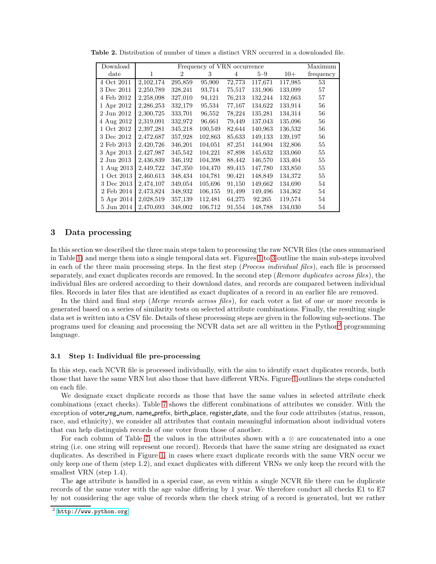<span id="page-2-1"></span>

| Download         |           |         | Frequency of VRN occurrence |        |         |         | Maximum   |
|------------------|-----------|---------|-----------------------------|--------|---------|---------|-----------|
| $_{\text{date}}$ | 1         | 2       | 3                           | 4      | $5-9$   | $10+$   | frequency |
| 4 Oct 2011       | 2,102,174 | 295,859 | 95,900                      | 72,773 | 117,671 | 117,985 | 53        |
| 3 Dec 2011       | 2,250,789 | 328,241 | 93,714                      | 75,517 | 131,906 | 133,099 | 57        |
| 4 Feb 2012       | 2,258,098 | 327,010 | 94,121                      | 76,213 | 132,244 | 132,663 | 57        |
| 1 Apr 2012       | 2,286,253 | 332,179 | 95,534                      | 77,167 | 134,622 | 133,914 | 56        |
| 2 Jun 2012       | 2,300,725 | 333,701 | 96,552                      | 78,224 | 135,281 | 134,314 | 56        |
| 4 Aug 2012       | 2,319,091 | 332,972 | 96,661                      | 79,449 | 137,043 | 135,096 | 56        |
| 1 Oct 2012       | 2,397,281 | 345,218 | 100,549                     | 82,644 | 140,963 | 136,532 | 56        |
| 3 Dec 2012       | 2,472,687 | 357,928 | 102,863                     | 85,633 | 149,133 | 139,197 | 56        |
| 2 Feb 2013       | 2,420,726 | 346,201 | 104,051                     | 87,251 | 144,904 | 132,806 | 55        |
| 3 Apr 2013       | 2,427,987 | 345,542 | 104,221                     | 87,898 | 145,632 | 133,060 | 55        |
| 2 Jun 2013       | 2,436,839 | 346,192 | 104,398                     | 88,442 | 146,570 | 133,404 | 55        |
| 1 Aug 2013       | 2,449,722 | 347,350 | 104,470                     | 89,415 | 147,780 | 133,850 | 55        |
| 1 Oct 2013       | 2,460,613 | 348,434 | 104,781                     | 90,421 | 148,849 | 134,372 | 55        |
| 3 Dec 2013       | 2,474,107 | 349,054 | 105,696                     | 91,150 | 149,662 | 134,690 | 54        |
| 2 Feb 2014       | 2,473,824 | 348,932 | 106,155                     | 91,499 | 149,496 | 134,362 | 54        |
| 5 Apr 2014       | 2,028,519 | 357,139 | 112,481                     | 64,275 | 92,265  | 119,574 | 54        |
| 5 Jun 2014       | 2,470,693 | 348,002 | 106,712                     | 91,554 | 148,788 | 134,030 | 54        |

Table 2. Distribution of number of times a distinct VRN occurred in a downloaded file.

## <span id="page-2-0"></span>3 Data processing

In this section we described the three main steps taken to processing the raw NCVR files (the ones summarised in Table [1\)](#page-1-0) and merge them into a single temporal data set. Figures [1](#page-7-0) to [3](#page-11-0) outline the main sub-steps involved in each of the three main processing steps. In the first step (Process individual files), each file is processed separately, and exact duplicates records are removed. In the second step (Remove duplicates across files), the individual files are ordered according to their download dates, and records are compared between individual files. Records in later files that are identified as exact duplicates of a record in an earlier file are removed.

In the third and final step (*Merge records across files*), for each voter a list of one or more records is generated based on a series of similarity tests on selected attribute combinations. Finally, the resulting single data set is written into a CSV file. Details of these processing steps are given in the following sub-sections. The programs used for cleaning and processing the NCVR data set are all written in the Python<sup>[2](#page-2-2)</sup> programming language.

#### <span id="page-2-3"></span>3.1 Step 1: Individual file pre-processing

In this step, each NCVR file is processed individually, with the aim to identify exact duplicates records, both those that have the same VRN but also those that have different VRNs. Figure [1](#page-7-0) outlines the steps conducted on each file.

We designate exact duplicate records as those that have the same values in selected attribute check combinations (exact checks). Table [7](#page-7-1) shows the different combinations of attributes we consider. With the exception of voter reg num, name prefix, birth place, register date, and the four code attributes (status, reason, race, and ethnicity), we consider all attributes that contain meaningful information about individual voters that can help distinguish records of one voter from those of another.

For each column of Table [7,](#page-7-1) the values in the attributes shown with a  $\otimes$  are concatenated into a one string (i.e. one string will represent one record). Records that have the same string are designated as exact duplicates. As described in Figure [1,](#page-7-0) in cases where exact duplicate records with the same VRN occur we only keep one of them (step 1.2), and exact duplicates with different VRNs we only keep the record with the smallest VRN (step 1.4).

The age attribute is handled in a special case, as even within a single NCVR file there can be duplicate records of the same voter with the age value differing by 1 year. We therefore conduct all checks E1 to E7 by not considering the age value of records when the check string of a record is generated, but we rather

<span id="page-2-2"></span> $^2$  <http://www.python.org>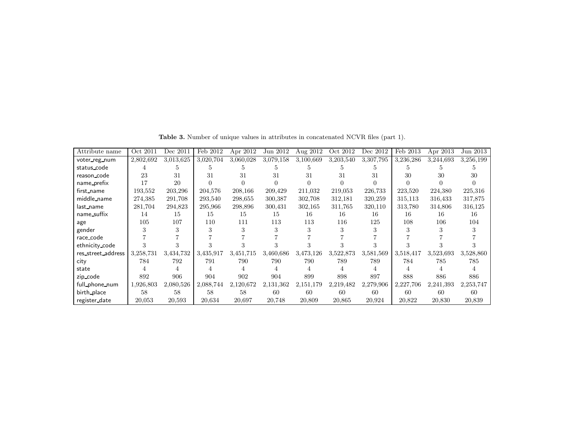| Attribute name     | Oct 2011  | Dec 2011  | Feb 2012  | Apr 2012  | Jun 2012  | Aug 2012  | Oct 2012  | Dec 2012  | Feb 2013  | Apr 2013  | Jun 2013  |
|--------------------|-----------|-----------|-----------|-----------|-----------|-----------|-----------|-----------|-----------|-----------|-----------|
| voter_reg_num      | 2,802,692 | 3,013,625 | 3,020,704 | 3,060,028 | 3,079,158 | 3,100,669 | 3,203,540 | 3,307,795 | 3,236,286 | 3,244,693 | 3,256,199 |
| status code        |           |           | b.        |           |           |           |           |           |           |           |           |
| reason_code        | 23        | 31        | 31        | 31        | 31        | 31        | 31        | 31        | 30        | 30        | 30        |
| name_prefix        | 17        | 20        |           |           |           | 0         |           |           |           |           |           |
| first_name         | 193.552   | 203,296   | 204.576   | 208,166   | 209,429   | 211,032   | 219,053   | 226,733   | 223,520   | 224,380   | 225,316   |
| middle_name        | 274,385   | 291,708   | 293,540   | 298,655   | 300,387   | 302,708   | 312,181   | 320,259   | 315,113   | 316,433   | 317,875   |
| last_name          | 281,704   | 294,823   | 295,966   | 298,896   | 300,431   | 302,165   | 311,765   | 320,110   | 313,780   | 314,806   | 316,125   |
| name_suffix        | 14        | 15        | 15        | 15        | 15        | 16        | 16        | 16        | 16        | 16        | 16        |
| age                | 105       | 107       | 110       | 111       | 113       | 113       | 116       | 125       | 108       | 106       | 104       |
| gender             |           |           |           |           |           |           |           | 3         |           |           |           |
| race_code          |           |           |           |           |           |           |           |           |           |           |           |
| ethnicity_code     |           |           |           |           |           |           |           |           |           |           |           |
| res_street_address | 3,258,731 | 3,434,732 | 3,435,917 | 3,451,715 | 3,460,686 | 3,473,126 | 3,522,873 | 3,581,569 | 3,518,417 | 3,523,693 | 3,528,860 |
| city               | 784       | 792       | 791       | 790       | 790       | 790       | 789       | 789       | 784       | 785       | 785       |
| state              |           |           | 4         |           |           |           |           |           |           |           |           |
| zip_code           | 892       | 906       | 904       | 902       | 904       | 899       | 898       | 897       | 888       | 886       | 886       |
| full_phone_num     | 1,926,803 | 2,080,526 | 2,088,744 | 2,120,672 | 2,131,362 | 2,151,179 | 2,219,482 | 2,279,906 | 2,227,706 | 2,241,393 | 2,253,747 |
| birth_place        | 58        | 58        | 58        | 58        | 60        | 60        | 60        | 60        | 60        | 60        | 60        |
| register date      | 20,053    | 20,593    | 20,634    | 20,697    | 20,748    | 20,809    | 20,865    | 20,924    | 20,822    | 20,830    | 20,839    |

<span id="page-3-0"></span>Table 3. Number of unique values in attributes in concatenated NCVR files (part 1).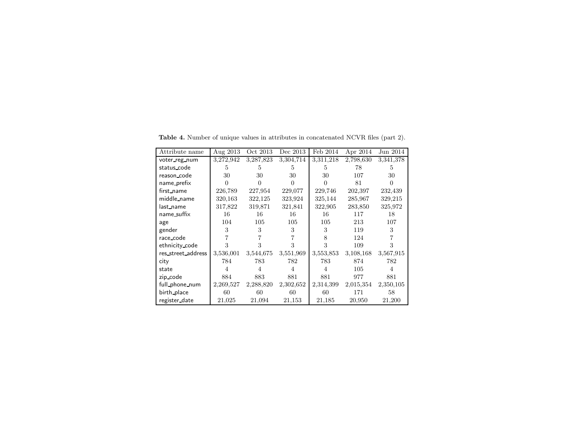<span id="page-4-0"></span>

| Attribute name     | Aug 2013  | Oct 2013  | Dec 2013  | Feb 2014  | Apr 2014  | Jun 2014       |
|--------------------|-----------|-----------|-----------|-----------|-----------|----------------|
| voter reg_num      | 3,272,942 | 3,287,823 | 3,304,714 | 3,311,218 | 2,798,630 | 3,341,378      |
| status_code        | 5         | 5         | 5         | 5         | 78        | 5              |
| reason_code        | 30        | 30        | 30        | 30        | 107       | 30             |
| name_prefix        | $^{(1)}$  | 0         |           |           | 81        | 0              |
| first_name         | 226,789   | 227,954   | 229,077   | 229,746   | 202,397   | 232,439        |
| middle name        | 320,163   | 322,125   | 323,924   | 325,144   | 285,967   | 329,215        |
| last_name          | 317,822   | 319,871   | 321,841   | 322,905   | 283,850   | 325,972        |
| name_suffix        | 16        | 16        | 16        | 16        | 117       | 18             |
| age                | 104       | 105       | 105       | 105       | 213       | 107            |
| gender             | 3         | 3         | 3         | 3         | 119       | 3              |
| race_code          |           |           |           | 8         | 124       |                |
| ethnicity_code     | 3         | 3         | 3         | 3         | 109       | 3              |
| res_street_address | 3,536,001 | 3,544,675 | 3,551,969 | 3,553,853 | 3,108,168 | 3,567,915      |
| city               | 784       | 783       | 782       | 783       | 874       | 782            |
| state              | 4         | 4         | 4         | 4         | 105       | $\overline{4}$ |
| zip_code           | 884       | 883       | 881       | 881       | 977       | 881            |
| full_phone_num     | 2,269,527 | 2,288,820 | 2,302,652 | 2,314,399 | 2,015,354 | 2,350,105      |
| birth_place        | 60        | 60        | 60        | 60        | 171       | 58             |
| register_date      | 21,025    | 21,094    | 21,153    | 21,185    | 20,950    | 21,200         |

Table 4. Number of unique values in attributes in concatenated NCVR files (part 2).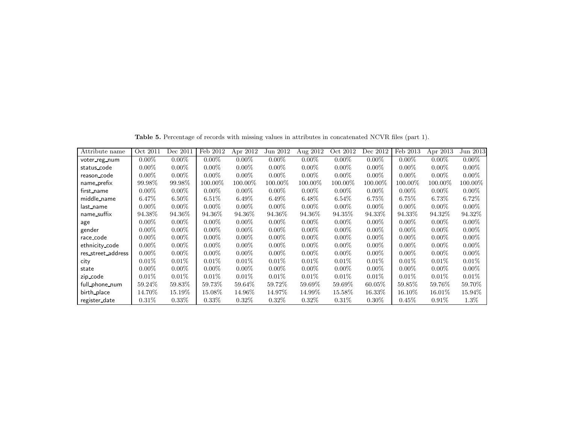| Attribute name     | Oct 2011 | Dec 2011  | Feb 2012 | Apr 2012   | Jun 2012 | Aug 2012 | Oct 2012 | Dec 2012  | Feb 2013  | Apr 2013  | Jun 2013   |
|--------------------|----------|-----------|----------|------------|----------|----------|----------|-----------|-----------|-----------|------------|
| voter_reg_num      | $0.00\%$ | $0.00\%$  | $0.00\%$ | $0.00\%$   | $0.00\%$ | $0.00\%$ | $0.00\%$ | $0.00\%$  | $0.00\%$  | $0.00\%$  | $0.00\%$   |
| status code        | $0.00\%$ | $0.00\%$  | $0.00\%$ | $0.00\%$   | $0.00\%$ | $0.00\%$ | $0.00\%$ | $0.00\%$  | $0.00\%$  | $0.00\%$  | $0.00\%$   |
| reason_code        | $0.00\%$ | $0.00\%$  | $0.00\%$ | $0.00\%$   | $0.00\%$ | $0.00\%$ | $0.00\%$ | $0.00\%$  | $0.00\%$  | $0.00\%$  | $0.00\%$   |
| name_prefix        | 99.98%   | 99.98\%   | 100.00%  | $100.00\%$ | 100.00%  | 100.00%  | 100.00%  | 100.00%   | 100.00%   | 100.00%   | $100.00\%$ |
| first_name         | $0.00\%$ | $0.00\%$  | $0.00\%$ | $0.00\%$   | $0.00\%$ | $0.00\%$ | $0.00\%$ | $0.00\%$  | $0.00\%$  | $0.00\%$  | $0.00\%$   |
| middle_name        | $6.47\%$ | $6.50\%$  | $6.51\%$ | $6.49\%$   | $6.49\%$ | $6.48\%$ | $6.54\%$ | 6.75%     | $6.75\%$  | $6.73\%$  | $6.72\%$   |
| last_name          | $0.00\%$ | $0.00\%$  | $0.00\%$ | $0.00\%$   | $0.00\%$ | $0.00\%$ | $0.00\%$ | $0.00\%$  | $0.00\%$  | $0.00\%$  | $0.00\%$   |
| name_suffix        | 94.38%   | 94.36\%   | 94.36\%  | 94.36\%    | 94.36%   | 94.36\%  | 94.35\%  | 94.33\%   | 94.33\%   | 94.32\%   | 94.32\%    |
| age                | $0.00\%$ | $0.00\%$  | $0.00\%$ | $0.00\%$   | $0.00\%$ | $0.00\%$ | $0.00\%$ | $0.00\%$  | $0.00\%$  | $0.00\%$  | $0.00\%$   |
| gender             | $0.00\%$ | $0.00\%$  | $0.00\%$ | $0.00\%$   | $0.00\%$ | $0.00\%$ | $0.00\%$ | $0.00\%$  | $0.00\%$  | $0.00\%$  | $0.00\%$   |
| race_code          | $0.00\%$ | $0.00\%$  | $0.00\%$ | $0.00\%$   | $0.00\%$ | $0.00\%$ | $0.00\%$ | $0.00\%$  | $0.00\%$  | $0.00\%$  | $0.00\%$   |
| ethnicity_code     | $0.00\%$ | $0.00\%$  | $0.00\%$ | $0.00\%$   | $0.00\%$ | $0.00\%$ | $0.00\%$ | $0.00\%$  | $0.00\%$  | $0.00\%$  | $0.00\%$   |
| res_street_address | $0.00\%$ | $0.00\%$  | $0.00\%$ | $0.00\%$   | $0.00\%$ | $0.00\%$ | $0.00\%$ | $0.00\%$  | $0.00\%$  | $0.00\%$  | $0.00\%$   |
| city               | $0.01\%$ | $0.01\%$  | $0.01\%$ | $0.01\%$   | $0.01\%$ | $0.01\%$ | $0.01\%$ | $0.01\%$  | $0.01\%$  | $0.01\%$  | 0.01%      |
| state              | $0.00\%$ | $0.00\%$  | $0.00\%$ | $0.00\%$   | $0.00\%$ | $0.00\%$ | $0.00\%$ | $0.00\%$  | $0.00\%$  | $0.00\%$  | $0.00\%$   |
| zip_code           | $0.01\%$ | $0.01\%$  | $0.01\%$ | $0.01\%$   | $0.01\%$ | $0.01\%$ | $0.01\%$ | $0.01\%$  | $0.01\%$  | $0.01\%$  | $0.01\%$   |
| full_phone_num     | 59.24\%  | $59.83\%$ | 59.73%   | 59.64\%    | 59.72\%  | 59.69%   | 59.69%   | $60.05\%$ | 59.85\%   | 59.76%    | 59.70\%    |
| birth_place        | 14.70%   | 15.19%    | 15.08\%  | 14.96\%    | 14.97%   | 14.99%   | 15.58%   | $16.33\%$ | $16.10\%$ | $16.01\%$ | 15.94\%    |
| register_date      | $0.31\%$ | $0.33\%$  | $0.33\%$ | $0.32\%$   | $0.32\%$ | $0.32\%$ | $0.31\%$ | $0.30\%$  | 0.45%     | $0.91\%$  | $1.3\%$    |

<span id="page-5-0"></span>Table 5. Percentage of records with missing values in attributes in concatenated NCVR files (part 1).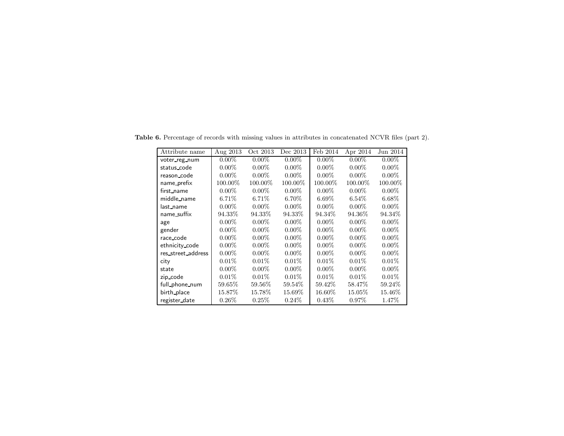<span id="page-6-0"></span>

| Attribute name     | Aug 2013 | $\overline{O}$ ct 2013 | Dec 2013  | Feb 2014 | Apr 2014   | Jun 2014 |
|--------------------|----------|------------------------|-----------|----------|------------|----------|
| voter_reg_num      | $0.00\%$ | $0.00\%$               | $0.00\%$  | $0.00\%$ | $0.00\%$   | $0.00\%$ |
| status_code        | $0.00\%$ | $0.00\%$               | $0.00\%$  | $0.00\%$ | $0.00\%$   | $0.00\%$ |
| reason_code        | $0.00\%$ | $0.00\%$               | $0.00\%$  | $0.00\%$ | $0.00\%$   | $0.00\%$ |
| name prefix        | 100.00%  | 100.00%                | 100.00%   | 100.00%  | $100.00\%$ | 100.00%  |
| first_name         | $0.00\%$ | $0.00\%$               | $0.00\%$  | $0.00\%$ | $0.00\%$   | $0.00\%$ |
| middle_name        | $6.71\%$ | $6.71\%$               | $6.70\%$  | $6.69\%$ | $6.54\%$   | $6.68\%$ |
| last_name          | $0.00\%$ | $0.00\%$               | $0.00\%$  | $0.00\%$ | $0.00\%$   | $0.00\%$ |
| name_suffix        | 94.33\%  | 94.33%                 | 94.33\%   | 94.34\%  | 94.36\%    | 94.34%   |
| age                | $0.00\%$ | $0.00\%$               | $0.00\%$  | $0.00\%$ | $0.00\%$   | $0.00\%$ |
| gender             | $0.00\%$ | $0.00\%$               | $0.00\%$  | $0.00\%$ | $0.00\%$   | $0.00\%$ |
| race_code          | $0.00\%$ | $0.00\%$               | $0.00\%$  | $0.00\%$ | $0.00\%$   | $0.00\%$ |
| ethnicity_code     | $0.00\%$ | $0.00\%$               | $0.00\%$  | $0.00\%$ | $0.00\%$   | $0.00\%$ |
| res_street_address | $0.00\%$ | $0.00\%$               | $0.00\%$  | $0.00\%$ | $0.00\%$   | $0.00\%$ |
| city               | $0.01\%$ | $0.01\%$               | $0.01\%$  | $0.01\%$ | $0.01\%$   | $0.01\%$ |
| state              | $0.00\%$ | $0.00\%$               | $0.00\%$  | $0.00\%$ | $0.00\%$   | $0.00\%$ |
| zip_code           | 0.01%    | $0.01\%$               | $0.01\%$  | $0.01\%$ | $0.01\%$   | $0.01\%$ |
| full_phone_num     | 59.65%   | 59.56%                 | 59.54%    | 59.42\%  | 58.47\%    | 59.24\%  |
| birth_place        | 15.87\%  | 15.78%                 | $15.69\%$ | 16.60%   | 15.05%     | 15.46\%  |
| register_date      | $0.26\%$ | $0.25\%$               | $0.24\%$  | $0.43\%$ | $0.97\%$   | 1.47%    |

Table 6. Percentage of records with missing values in attributes in concatenated NCVR files (part 2).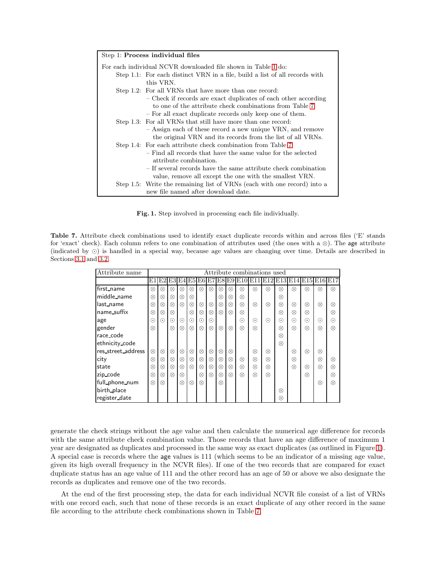| Step 1: Process individual files                                            |
|-----------------------------------------------------------------------------|
| For each individual NCVR downloaded file shown in Table 1 do:               |
| Step 1.1: For each distinct VRN in a file, build a list of all records with |
| this VRN.                                                                   |
| Step 1.2: For all VRNs that have more than one record:                      |
| - Check if records are exact duplicates of each other according             |
| to one of the attribute check combinations from Table 7.                    |
| - For all exact duplicate records only keep one of them.                    |
| Step 1.3: For all VRNs that still have more than one record:                |
| - Assign each of these record a new unique VRN, and remove                  |
| the original VRN and its records from the list of all VRNs.                 |
| Step 1.4: For each attribute check combination from Table 7:                |
| - Find all records that have the same value for the selected                |
| attribute combination.                                                      |
| - If several records have the same attribute check combination              |
| value, remove all except the one with the smallest VRN.                     |
| Step 1.5: Write the remaining list of VRNs (each with one record) into a    |
| new file named after download date.                                         |

<span id="page-7-0"></span>Fig. 1. Step involved in processing each file individually.

<span id="page-7-1"></span>Table 7. Attribute check combinations used to identify exact duplicate records within and across files ('E' stands for 'exact' check). Each column refers to one combination of attributes used (the ones with a ⊗). The age attribute (indicated by ⊙) is handled in a special way, because age values are changing over time. Details are described in Sections [3.1](#page-2-3) and [3.2.](#page-8-0)

| Attribute name     |           |           |                   |           |           |            |            |           |           |           |           | Attribute combinations used   |           |           |           |           |            |
|--------------------|-----------|-----------|-------------------|-----------|-----------|------------|------------|-----------|-----------|-----------|-----------|-------------------------------|-----------|-----------|-----------|-----------|------------|
|                    | E1        |           | E2 E3 E4 E5 E6 E7 |           |           |            |            |           |           |           |           | E8E9E10E11E12E13E14E15E16E17' |           |           |           |           |            |
| first_name         | $\otimes$ | ⊗         | $\otimes$         | ⊗         | ⊗         | $\otimes$  | $\otimes$  | ⊗         | $\otimes$ | $\otimes$ | $\otimes$ | $\otimes$                     | ⊗         | ⊗         | $\otimes$ | $\otimes$ | $\otimes$  |
| middle_name        | $\otimes$ | ⊗         | ⊗                 | $\otimes$ | ⊗         |            |            | $\otimes$ | ⊗         | $\otimes$ |           |                               | $\otimes$ |           |           |           |            |
| llast_name         | ⊗         | $\otimes$ | $\otimes$         | $\otimes$ | $\otimes$ | $\otimes$  | $\otimes$  | $\otimes$ | $\otimes$ | $\otimes$ | $\otimes$ | $\otimes$                     | $\otimes$ | ⊗         | $\otimes$ | $\otimes$ | ⊗          |
| name_suffix        | $\otimes$ | $\otimes$ | $\otimes$         |           | $\otimes$ | $\otimes$  | $\otimes$  | $\otimes$ | $\otimes$ | $\otimes$ |           |                               | $\otimes$ | $\otimes$ | $\otimes$ |           | ⊗          |
| age                | ⊙         | $\odot$   | $\odot$           | $\odot$   | $\odot$   | $_{\odot}$ | $_{\odot}$ |           |           | $\odot$   | $\odot$   | $\odot$                       | $\odot$   | $\odot$   | $\odot$   | $\odot$   | $_{\odot}$ |
| gender             | $\otimes$ |           | $\otimes$         | $\otimes$ | $\otimes$ | $\otimes$  | $\otimes$  | $\otimes$ | $\otimes$ | $\otimes$ | $\otimes$ |                               | $\otimes$ | $\otimes$ | $\otimes$ | $\otimes$ | $\otimes$  |
| race_code          |           |           |                   |           |           |            |            |           |           |           |           |                               | $\otimes$ |           |           |           |            |
| ethnicity_code     |           |           |                   |           |           |            |            |           |           |           |           |                               | $\otimes$ |           |           |           |            |
| res_street_address | $\otimes$ | ⊗         | $\otimes$         | $\otimes$ | $\otimes$ | $\otimes$  | $\otimes$  | $\otimes$ | ⊗         |           | ⊗         | $\otimes$                     |           | ⊗         | $\otimes$ | $\otimes$ |            |
| city               | ⊗         | $\otimes$ | $\otimes$         | $\otimes$ | $\otimes$ | $\otimes$  | ⊗          | $\otimes$ | $\otimes$ | $\otimes$ | ⊗         | $\otimes$                     |           | ⊗         |           | $\otimes$ | ⊗          |
| state              | ⊗         | ⊗         | $\otimes$         | $\otimes$ | $\otimes$ | $\otimes$  | $\otimes$  | $\otimes$ | ⊗         | ⊗         | $\otimes$ | $\otimes$                     |           | ⊗         | $\otimes$ | $\otimes$ | ⊗          |
| zip_code           | ⊗         | $\otimes$ | $\otimes$         | ⊗         |           | $\otimes$  | $\otimes$  | $\otimes$ | $\otimes$ | $\otimes$ | ⊗         | $\otimes$                     |           |           | $\otimes$ |           | ⊗          |
| full_phone_num     | ⊗         | $\otimes$ |                   | $\otimes$ | $\otimes$ | $\otimes$  |            | $\otimes$ |           |           |           |                               |           |           |           | $\otimes$ | $\otimes$  |
| birth_place        |           |           |                   |           |           |            |            |           |           |           |           |                               | $\otimes$ |           |           |           |            |
| register_date      |           |           |                   |           |           |            |            |           |           |           |           |                               | $\otimes$ |           |           |           |            |

generate the check strings without the age value and then calculate the numerical age difference for records with the same attribute check combination value. Those records that have an age difference of maximum 1 year are designated as duplicates and processed in the same way as exact duplicates (as outlined in Figure [1\)](#page-7-0). A special case is records where the age values is 111 (which seems to be an indicator of a missing age value, given its high overall frequency in the NCVR files). If one of the two records that are compared for exact duplicate status has an age value of 111 and the other record has an age of 50 or above we also designate the records as duplicates and remove one of the two records.

At the end of the first processing step, the data for each individual NCVR file consist of a list of VRNs with one record each, such that none of these records is an exact duplicate of any other record in the same file according to the attribute check combinations shown in Table [7.](#page-7-1)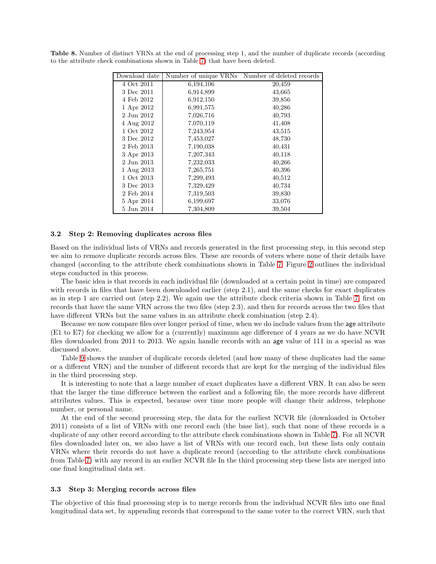<span id="page-8-1"></span>

| Download date |           | Number of unique VRNs Number of deleted records |
|---------------|-----------|-------------------------------------------------|
| 4 Oct 2011    | 6,194,106 | 20,459                                          |
| 3 Dec 2011    | 6,914,899 | 43,665                                          |
| 4 Feb 2012    | 6,912,150 | 39,856                                          |
| 1 Apr 2012    | 6,991,575 | 40,286                                          |
| 2 Jun 2012    | 7,026,716 | 40,793                                          |
| 4 Aug 2012    | 7,070,119 | 41,408                                          |
| 1 Oct 2012    | 7,243,954 | 43,515                                          |
| 3 Dec 2012    | 7,453,027 | 48,730                                          |
| 2 Feb 2013    | 7,190,038 | 40,431                                          |
| 3 Apr 2013    | 7,207,343 | 40,118                                          |
| 2 Jun 2013    | 7,232,033 | 40,266                                          |
| 1 Aug 2013    | 7,265,751 | 40,396                                          |
| 1 Oct 2013    | 7,299,493 | 40,512                                          |
| 3 Dec 2013    | 7,329,429 | 40,734                                          |
| 2 Feb 2014    | 7,319,503 | 39,830                                          |
| 5 Apr 2014    | 6,199,697 | 33,076                                          |
| 5 Jun 2014    | 7,304,809 | 39,504                                          |

Table 8. Number of distinct VRNs at the end of processing step 1, and the number of duplicate records (according to the attribute check combinations shown in Table [7\)](#page-7-1) that have been deleted.

#### <span id="page-8-0"></span>3.2 Step 2: Removing duplicates across files

Based on the individual lists of VRNs and records generated in the first processing step, in this second step we aim to remove duplicate records across files. These are records of voters where none of their details have changed (according to the attribute check combinations shown in Table [7.](#page-7-1) Figure [2](#page-9-0) outlines the individual steps conducted in this process.

The basic idea is that records in each individual file (downloaded at a certain point in time) are compared with records in files that have been downloaded earlier (step 2.1), and the same checks for exact duplicates as in step 1 are carried out (step 2.2). We again use the attribute check criteria shown in Table [7,](#page-7-1) first on records that have the same VRN across the two files (step 2.3), and then for records across the two files that have different VRNs but the same values in an attribute check combination (step 2.4).

Because we now compare files over longer period of time, when we do include values from the age attribute (E1 to E7) for checking we allow for a (currently) maximum age difference of 4 years as we do have NCVR files downloaded from 2011 to 2013. We again handle records with an age value of 111 in a special as was discussed above.

Table [9](#page-9-1) shows the number of duplicate records deleted (and how many of these duplicates had the same or a different VRN) and the number of different records that are kept for the merging of the individual files in the third processing step.

It is interesting to note that a large number of exact duplicates have a different VRN. It can also be seen that the larger the time difference between the earliest and a following file, the more records have different attributes values. This is expected, because over time more people will change their address, telephone number, or personal name.

At the end of the second processing step, the data for the earliest NCVR file (downloaded in October 2011) consists of a list of VRNs with one record each (the base list), such that none of these records is a duplicate of any other record according to the attribute check combinations shown in Table [7\)](#page-7-1). For all NCVR files downloaded later on, we also have a list of VRNs with one record each, but these lists only contain VRNs where their records do not have a duplicate record (according to the attribute check combinations from Table [7\)](#page-7-1) with any record in an earlier NCVR file In the third processing step these lists are merged into one final longitudinal data set.

#### 3.3 Step 3: Merging records across files

The objective of this final processing step is to merge records from the individual NCVR files into one final longitudinal data set, by appending records that correspond to the same voter to the correct VRN, such that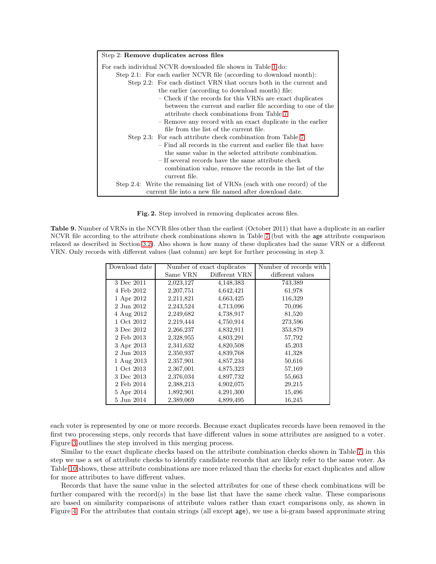| Step 2: Remove duplicates across files                                   |
|--------------------------------------------------------------------------|
| For each individual NCVR downloaded file shown in Table 1 do:            |
| Step 2.1: For each earlier NCVR file (according to download month):      |
| Step 2.2: For each distinct VRN that occurs both in the current and      |
| the earlier (according to download month) file:                          |
| – Check if the records for this VRNs are exact duplicates                |
| between the current and earlier file according to one of the             |
| attribute check combinations from Table 7.                               |
| - Remove any record with an exact duplicate in the earlier               |
| file from the list of the current file.                                  |
| Step 2.3: For each attribute check combination from Table 7:             |
| - Find all records in the current and earlier file that have             |
| the same value in the selected attribute combination.                    |
| - If several records have the same attribute check                       |
| combination value, remove the records in the list of the                 |
| current file.                                                            |
| Step 2.4: Write the remaining list of VRNs (each with one record) of the |
| current file into a new file named after download date.                  |

<span id="page-9-0"></span>Fig. 2. Step involved in removing duplicates across files.

<span id="page-9-1"></span>Table 9. Number of VRNs in the NCVR files other than the earliest (October 2011) that have a duplicate in an earlier NCVR file according to the attribute check combinations shown in Table [7](#page-7-1) (but with the age attribute comparison relaxed as described in Section [3.2\)](#page-8-0). Also shown is how many of these duplicates had the same VRN or a different VRN. Only records with different values (last column) are kept for further processing in step 3.

| Download date |           | Number of exact duplicates | Number of records with |
|---------------|-----------|----------------------------|------------------------|
|               | Same VRN  | Different VRN              | different values       |
| 3 Dec 2011    | 2,023,127 | 4,148,383                  | 743,389                |
| 4 Feb 2012    | 2,207,751 | 4,642,421                  | 61,978                 |
| 1 Apr 2012    | 2,211,821 | 4,663,425                  | 116,329                |
| 2 Jun 2012    | 2,243,524 | 4,713,096                  | 70,096                 |
| 4 Aug 2012    | 2,249,682 | 4,738,917                  | 81,520                 |
| 1 Oct 2012    | 2,219,444 | 4,750,914                  | 273,596                |
| 3 Dec 2012    | 2,266,237 | 4,832,911                  | 353,879                |
| 2 Feb 2013    | 2,328,955 | 4,803,291                  | 57,792                 |
| 3 Apr 2013    | 2,341,632 | 4,820,508                  | 45,203                 |
| 2 Jun 2013    | 2,350,937 | 4,839,768                  | 41,328                 |
| 1 Aug 2013    | 2,357,901 | 4,857,234                  | 50,616                 |
| 1 Oct 2013    | 2,367,001 | 4,875,323                  | 57,169                 |
| 3 Dec 2013    | 2,376,034 | 4,897,732                  | 55,663                 |
| 2 Feb 2014    | 2,388,213 | 4,902,075                  | 29,215                 |
| 5 Apr 2014    | 1,892,901 | 4,291,300                  | 15,496                 |
| 5 Jun 2014    | 2,389,069 | 4,899,495                  | 16,245                 |

each voter is represented by one or more records. Because exact duplicates records have been removed in the first two processing steps, only records that have different values in some attributes are assigned to a voter. Figure [3](#page-11-0) outlines the step involved in this merging process.

Similar to the exact duplicate checks based on the attribute combination checks shown in Table [7,](#page-7-1) in this step we use a set of attribute checks to identify candidate records that are likely refer to the same voter. As Table [10](#page-10-0) shows, these attribute combinations are more relaxed than the checks for exact duplicates and allow for more attributes to have different values.

Records that have the same value in the selected attributes for one of these check combinations will be further compared with the record(s) in the base list that have the same check value. These comparisons are based on similarity comparisons of attribute values rather than exact comparisons only, as shown in Figure [4.](#page-12-0) For the attributes that contain strings (all except age), we use a bi-gram based approximate string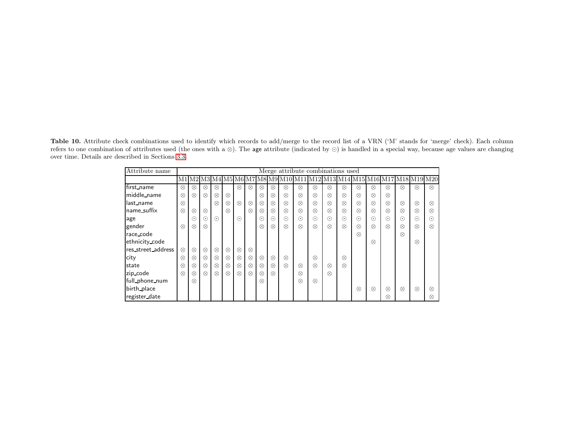Table 10. Attribute check combinations used to identify which records to add/merge to the record list of a VRN ('M' stands for 'merge' check). Each column refers to one combination of attributes used (the ones with <sup>a</sup> <sup>⊗</sup>). The age attribute (indicated by <sup>⊙</sup>) is handled in <sup>a</sup> special way, because age values are changing over time. Details are described in Sections [3.3.](#page-8-1)

<span id="page-10-0"></span>

| Attribute name     |           |            |           |           |           |           |           |           |                         |           |           | Merge attribute combinations used |           |           |           |           |           |           |                         |           |
|--------------------|-----------|------------|-----------|-----------|-----------|-----------|-----------|-----------|-------------------------|-----------|-----------|-----------------------------------|-----------|-----------|-----------|-----------|-----------|-----------|-------------------------|-----------|
|                    | M1        |            |           |           |           |           |           |           | M2 M3 M4 M5 M6 M7 M8 M9 | M10       |           |                                   | M13       | M14       |           |           |           |           | M15 M16 M17 M18 M19 M20 |           |
| first_name         | $\otimes$ | $\otimes$  | $\otimes$ | ⊗         |           | $\otimes$ | $\otimes$ | $\otimes$ | $\otimes$               | $\otimes$ | $\otimes$ | $\otimes$                         | $\otimes$ | $\otimes$ | $\otimes$ | ⊗         | ⊗         | $\otimes$ | $\otimes$               | $\otimes$ |
| middle_name        | $\otimes$ | $\otimes$  | $\otimes$ | $\otimes$ | $\otimes$ |           |           | $\otimes$ | $\otimes$               | $\otimes$ | $\otimes$ | $\otimes$                         | $\otimes$ | $\otimes$ | $\otimes$ | $\otimes$ | $\otimes$ |           |                         |           |
| last_name          | $\otimes$ |            |           | $\otimes$ | $\otimes$ | $\otimes$ | $\otimes$ | $\otimes$ | $\otimes$               | $\otimes$ | $\otimes$ | $\otimes$                         | $\otimes$ | $\otimes$ | $\otimes$ | $\otimes$ | $\otimes$ | $\otimes$ | $\otimes$               | $\otimes$ |
| name_suffix        | $\otimes$ | $\otimes$  | $\otimes$ |           | $\otimes$ |           | $\otimes$ | $\otimes$ | $\otimes$               | $\otimes$ | $\otimes$ | $\otimes$                         | $\otimes$ | $\otimes$ | $\otimes$ | $\otimes$ | ⊗         | $\otimes$ | $\otimes$               | ⊗         |
| age                |           | $_{\odot}$ | $\odot$   | $\odot$   |           | $\odot$   |           | $\odot$   | $\odot$                 | $\odot$   | $\odot$   | $\odot$                           | $\odot$   | $\odot$   | $\odot$   | $\odot$   | $\odot$   | $\odot$   | $\odot$                 | $\odot$   |
| gender             | $\otimes$ | $\otimes$  | $\otimes$ |           |           |           |           | $\otimes$ | $\otimes$               | $\otimes$ | $\otimes$ | $\otimes$                         | $\otimes$ | $\otimes$ | $\otimes$ | $\otimes$ | $\otimes$ | $\otimes$ | $\otimes$               | $\otimes$ |
| race_code          |           |            |           |           |           |           |           |           |                         |           |           |                                   |           |           | $\otimes$ |           |           | $\otimes$ |                         |           |
| ethnicity_code     |           |            |           |           |           |           |           |           |                         |           |           |                                   |           |           |           | $\otimes$ |           |           | $\otimes$               |           |
| res_street_address | $\otimes$ | $\otimes$  | $\otimes$ | $\otimes$ | $\otimes$ | $\otimes$ | $\otimes$ |           |                         |           |           |                                   |           |           |           |           |           |           |                         |           |
| city               | ⊗         | $\otimes$  | $\otimes$ | $\otimes$ | $\otimes$ | $\otimes$ | $\otimes$ | $\otimes$ | $\otimes$               | $\otimes$ |           | $\otimes$                         |           | $\otimes$ |           |           |           |           |                         |           |
| state              | ⊗         | $\otimes$  | $\otimes$ | $\otimes$ | $\otimes$ | $\otimes$ | $\otimes$ | $\otimes$ | $\otimes$               | $\otimes$ | $\otimes$ | $\otimes$                         | $\otimes$ | $\otimes$ |           |           |           |           |                         |           |
| zip_code           | $\otimes$ | $\otimes$  | $\otimes$ | $\otimes$ | $\otimes$ | $\otimes$ | $\otimes$ | $\otimes$ | $\otimes$               |           | $\otimes$ |                                   | $\otimes$ |           |           |           |           |           |                         |           |
| full_phone_num     |           | $\otimes$  |           |           |           |           |           | $\otimes$ |                         |           | $\otimes$ | $\otimes$                         |           |           |           |           |           |           |                         |           |
| birth_place        |           |            |           |           |           |           |           |           |                         |           |           |                                   |           |           | $\otimes$ | $\otimes$ | $\otimes$ | $\otimes$ | $\otimes$               | $\otimes$ |
| register_date      |           |            |           |           |           |           |           |           |                         |           |           |                                   |           |           |           |           | ⊗         |           |                         | ⊗         |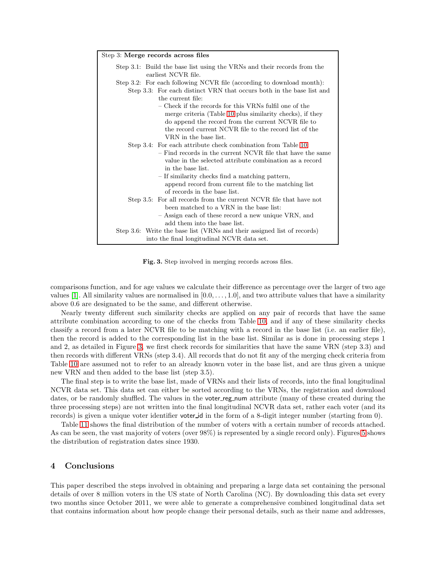| Step 3.1: Build the base list using the VRNs and their records from the<br>earliest NCVR file. |  |  |
|------------------------------------------------------------------------------------------------|--|--|
| Step 3.2: For each following NCVR file (according to download month):                          |  |  |
| Step 3.3: For each distinct VRN that occurs both in the base list and<br>the current file:     |  |  |
| – Check if the records for this VRNs fulfil one of the                                         |  |  |
| merge criteria (Table 10 plus similarity checks), if they                                      |  |  |
| do append the record from the current NCVR file to                                             |  |  |
| the record current NCVR file to the record list of the                                         |  |  |
| VRN in the base list.                                                                          |  |  |
| Step 3.4: For each attribute check combination from Table 10:                                  |  |  |
| - Find records in the current NCVR file that have the same                                     |  |  |
| value in the selected attribute combination as a record                                        |  |  |
| in the base list.                                                                              |  |  |
| - If similarity checks find a matching pattern,                                                |  |  |
| append record from current file to the matching list<br>of records in the base list.           |  |  |
| Step 3.5: For all records from the current NCVR file that have not                             |  |  |
| been matched to a VRN in the base list:                                                        |  |  |
| - Assign each of these record a new unique VRN, and                                            |  |  |
| add them into the base list.                                                                   |  |  |
| Step 3.6: Write the base list (VRNs and their assigned list of records)                        |  |  |
| into the final longitudinal NCVR data set.                                                     |  |  |

<span id="page-11-0"></span>Fig. 3. Step involved in merging records across files.

comparisons function, and for age values we calculate their difference as percentage over the larger of two age values  $[1]$ . All similarity values are normalised in  $[0.0, \ldots, 1.0]$ , and two attribute values that have a similarity above 0.6 are designated to be the same, and different otherwise.

Nearly twenty different such similarity checks are applied on any pair of records that have the same attribute combination according to one of the checks from Table [10,](#page-10-0) and if any of these similarity checks classify a record from a later NCVR file to be matching with a record in the base list (i.e. an earlier file), then the record is added to the corresponding list in the base list. Similar as is done in processing steps 1 and 2, as detailed in Figure [3,](#page-11-0) we first check records for similarities that have the same VRN (step 3.3) and then records with different VRNs (step 3.4). All records that do not fit any of the merging check criteria from Table [10](#page-10-0) are assumed not to refer to an already known voter in the base list, and are thus given a unique new VRN and then added to the base list (step 3.5).

The final step is to write the base list, made of VRNs and their lists of records, into the final longitudinal NCVR data set. This data set can either be sorted according to the VRNs, the registration and download dates, or be randomly shuffled. The values in the voter reg-num attribute (many of these created during the three processing steps) are not written into the final longitudinal NCVR data set, rather each voter (and its records) is given a unique voter identifier voter id in the form of a 8-digit integer number (starting from 0).

Table [11](#page-13-0) shows the final distribution of the number of voters with a certain number of records attached. As can be seen, the vast majority of voters (over 98%) is represented by a single record only). Figures [5](#page-13-1) shows the distribution of registration dates since 1930.

## 4 Conclusions

This paper described the steps involved in obtaining and preparing a large data set containing the personal details of over 8 million voters in the US state of North Carolina (NC). By downloading this data set every two months since October 2011, we were able to generate a comprehensive combined longitudinal data set that contains information about how people change their personal details, such as their name and addresses,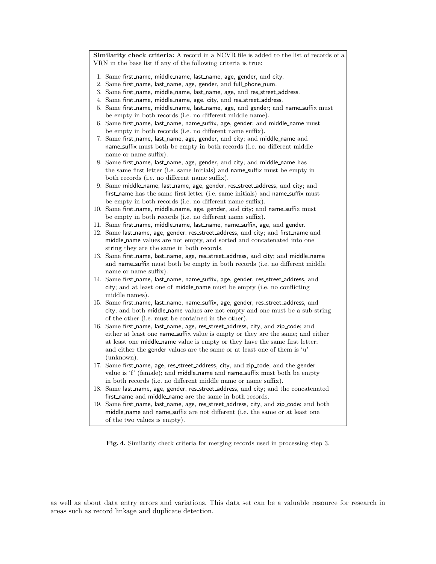Similarity check criteria: A record in a NCVR file is added to the list of records of a VRN in the base list if any of the following criteria is true:

- 1. Same first name, middle name, last name, age, gender, and city.
- 2. Same first name, last name, age, gender, and full phone num.
- 3. Same first name, middle name, last name, age, and res street address.
- 4. Same first name, middle name, age, city, and res street address.
- 5. Same first name, middle name, last name, age, and gender; and name suffix must be empty in both records (i.e. no different middle name).
- 6. Same first\_name, last\_name, name\_suffix, age, gender; and middle\_name must be empty in both records (i.e. no different name suffix).
- 7. Same first\_name, last\_name, age, gender, and city; and middle\_name and name suffix must both be empty in both records (i.e. no different middle name or name suffix).
- 8. Same first name, last name, age, gender, and city; and middle name has the same first letter (i.e. same initials) and name suffix must be empty in both records (i.e. no different name suffix).
- 9. Same middle name, last name, age, gender, res street address, and city; and first\_name has the same first letter (i.e. same initials) and name\_suffix must be empty in both records (i.e. no different name suffix).
- 10. Same first\_name, middle\_name, age, gender, and city; and name\_suffix must be empty in both records (i.e. no different name suffix).
- 11. Same first name, middle name, last name, name suffix, age, and gender.
- 12. Same last\_name, age, gender. res\_street\_address, and city; and first\_name and middle name values are not empty, and sorted and concatenated into one string they are the same in both records.
- 13. Same first\_name, last\_name, age, res\_street\_address, and city; and middle\_name and name\_suffix must both be empty in both records (i.e. no different middle name or name suffix).
- 14. Same first name, last name, name suffix, age, gender, res street address, and city; and at least one of middle name must be empty (i.e. no conflicting middle names).
- 15. Same first\_name, last\_name, name\_suffix, age, gender, res\_street\_address, and city; and both middle name values are not empty and one must be a sub-string of the other (i.e. must be contained in the other).
- 16. Same first name, last name, age, res street address, city, and zip code; and either at least one name\_suffix value is empty or they are the same; and either at least one middle name value is empty or they have the same first letter; and either the gender values are the same or at least one of them is 'u' (unknown).
- 17. Same first name, age, res street address, city, and zip code; and the gender value is 'f' (female); and middle\_name and name\_suffix must both be empty in both records (i.e. no different middle name or name suffix).
- 18. Same last name, age, gender, res street address, and city; and the concatenated first name and middle name are the same in both records.
- 19. Same first\_name, last\_name, age, res\_street\_address, city, and zip\_code; and both middle name and name suffix are not different (i.e. the same or at least one of the two values is empty).

<span id="page-12-0"></span>Fig. 4. Similarity check criteria for merging records used in processing step 3.

as well as about data entry errors and variations. This data set can be a valuable resource for research in areas such as record linkage and duplicate detection.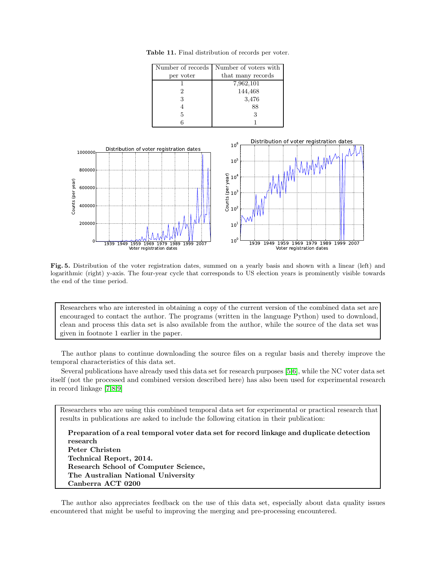<span id="page-13-0"></span>

| Number of records | Number of voters with |  |
|-------------------|-----------------------|--|
| per voter         | that many records     |  |
|                   | 7,962,101             |  |
|                   | 144,468               |  |
| 3                 | 3,476                 |  |
|                   | 88                    |  |
| 5                 |                       |  |
|                   |                       |  |

Table 11. Final distribution of records per voter.



<span id="page-13-1"></span>Fig. 5. Distribution of the voter registration dates, summed on a yearly basis and shown with a linear (left) and logarithmic (right) y-axis. The four-year cycle that corresponds to US election years is prominently visible towards the end of the time period.

Researchers who are interested in obtaining a copy of the current version of the combined data set are encouraged to contact the author. The programs (written in the language Python) used to download, clean and process this data set is also available from the author, while the source of the data set was given in footnote 1 earlier in the paper.

The author plans to continue downloading the source files on a regular basis and thereby improve the temporal characteristics of this data set.

Several publications have already used this data set for research purposes [\[5,](#page-14-4)[6\]](#page-14-5), while the NC voter data set itself (not the processed and combined version described here) has also been used for experimental research in record linkage [\[7](#page-14-6)[,8,](#page-14-7)[9\]](#page-14-8)

Researchers who are using this combined temporal data set for experimental or practical research that results in publications are asked to include the following citation in their publication:

Preparation of a real temporal voter data set for record linkage and duplicate detection research Peter Christen Technical Report, 2014. Research School of Computer Science, The Australian National University Canberra ACT 0200

The author also appreciates feedback on the use of this data set, especially about data quality issues encountered that might be useful to improving the merging and pre-processing encountered.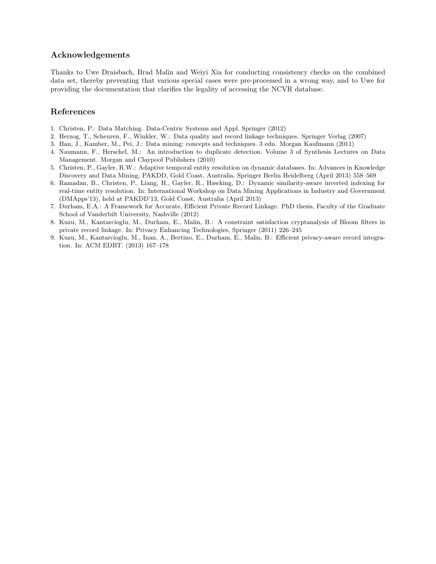# Acknowledgements

Thanks to Uwe Draisbach, Brad Malin and Weiyi Xia for conducting consistency checks on the combined data set, thereby preventing that various special cases were pre-processed in a wrong way, and to Uwe for providing the documentation that clarifies the legality of accessing the NCVR database.

# References

- <span id="page-14-1"></span><span id="page-14-0"></span>1. Christen, P.: Data Matching. Data-Centric Systems and Appl. Springer (2012)
- <span id="page-14-2"></span>2. Herzog, T., Scheuren, F., Winkler, W.: Data quality and record linkage techniques. Springer Verlag (2007)
- <span id="page-14-3"></span>3. Han, J., Kamber, M., Pei, J.: Data mining: concepts and techniques. 3 edn. Morgan Kaufmann (2011)
- 4. Naumann, F., Herschel, M.: An introduction to duplicate detection. Volume 3 of Synthesis Lectures on Data Management. Morgan and Claypool Publishers (2010)
- <span id="page-14-4"></span>5. Christen, P., Gayler, R.W.: Adaptive temporal entity resolution on dynamic databases. In: Advances in Knowledge Discovery and Data Mining, PAKDD, Gold Coast, Australia, Springer Berlin Heidelberg (April 2013) 558–569
- <span id="page-14-5"></span>6. Ramadan, B., Christen, P., Liang, H., Gayler, R., Hawking, D.: Dynamic similarity-aware inverted indexing for real-time entity resolution. In: International Workshop on Data Mining Applications in Industry and Government (DMApps'13), held at PAKDD'13, Gold Coast, Australia (April 2013)
- <span id="page-14-6"></span>7. Durham, E.A.: A Framework for Accurate, Efficient Private Record Linkage. PhD thesis, Faculty of the Graduate School of Vanderbilt University, Nashville (2012)
- <span id="page-14-7"></span>8. Kuzu, M., Kantarcioglu, M., Durham, E., Malin, B.: A constraint satisfaction cryptanalysis of Bloom filters in private record linkage. In: Privacy Enhancing Technologies, Springer (2011) 226–245
- <span id="page-14-8"></span>9. Kuzu, M., Kantarcioglu, M., Inan, A., Bertino, E., Durham, E., Malin, B.: Efficient privacy-aware record integration. In: ACM EDBT. (2013) 167–178